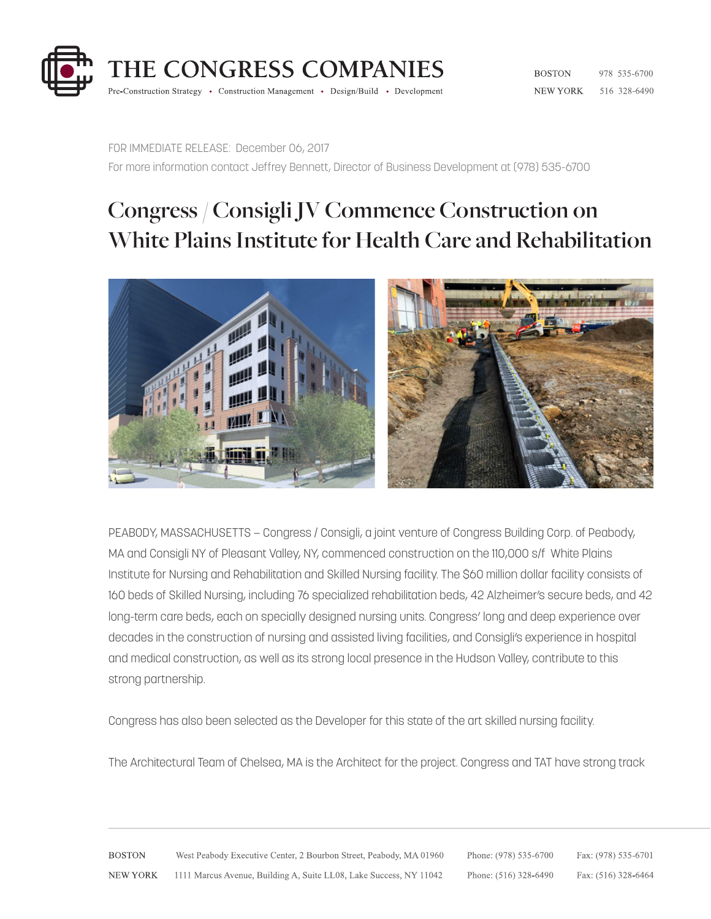

**BOSTON** 978 535-6700 NEW YORK 516 328-6490

FOR IMMEDIATE RELEASE: December 06, 2017 For more information contact Jeffrey Bennett, Director of Business Development at (978) 535-6700

## **Congress / Consigli JV Commence Construction on White Plains Institute for Health Care and Rehabilitation**



PEABODY, MASSACHUSETTS — Congress / Consigli, a joint venture of Congress Building Corp. of Peabody, MA and Consigli NY of Pleasant Valley, NY, commenced construction on the 110,000 s/f White Plains Institute for Nursing and Rehabilitation and Skilled Nursing facility. The \$60 million dollar facility consists of 160 beds of Skilled Nursing, including 76 specialized rehabilitation beds, 42 Alzheimer's secure beds, and 42 long-term care beds, each on specially designed nursing units. Congress' long and deep experience over decades in the construction of nursing and assisted living facilities, and Consigli's experience in hospital and medical construction, as well as its strong local presence in the Hudson Valley, contribute to this strong partnership.

Congress has also been selected as the Developer for this state of the art skilled nursing facility.

The Architectural Team of Chelsea, MA is the Architect for the project. Congress and TAT have strong track

**BOSTON** West Peabody Executive Center, 2 Bourbon Street, Peabody, MA 01960 Phone: (978) 535-6700 Fax: (978) 535-6701 **NEW YORK** 1111 Marcus Avenue, Building A, Suite LL08, Lake Success, NY 11042 Phone: (516) 328-6490 Fax: (516) 328-6464